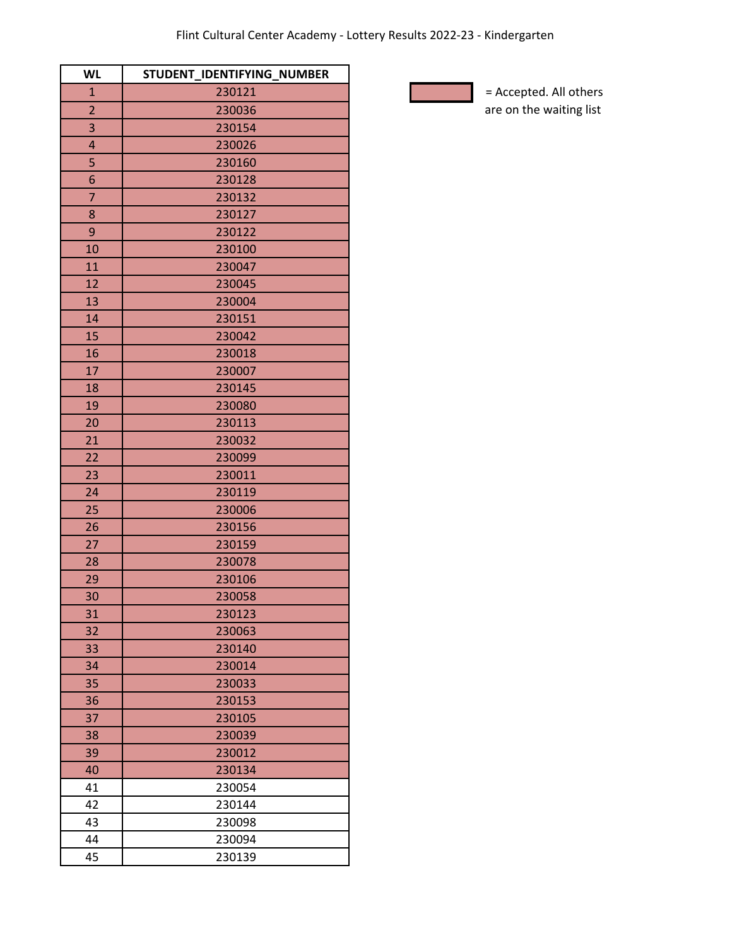| <b>WL</b>      | STUDENT IDENTIFYING NUMBER |
|----------------|----------------------------|
| $\mathbf{1}$   | 230121                     |
| $\overline{2}$ | 230036                     |
| 3              | 230154                     |
| 4              | 230026                     |
| 5              | 230160                     |
| 6              | 230128                     |
| 7              | 230132                     |
| 8              | 230127                     |
| 9              | 230122                     |
| 10             | 230100                     |
| 11             | 230047                     |
| 12             | 230045                     |
| 13             | 230004                     |
| 14             | 230151                     |
| 15             | 230042                     |
| 16             | 230018                     |
| 17             | 230007                     |
| 18             | 230145                     |
| 19             | 230080                     |
| 20             | 230113                     |
| 21             | 230032                     |
| 22             | 230099                     |
| 23             | 230011                     |
| 24             | 230119                     |
| 25             | 230006                     |
| 26             | 230156                     |
| 27             | 230159                     |
| 28             | 230078                     |
| 29             | 230106                     |
| 30             | 230058                     |
| 31             | 230123                     |
| 32             | 230063                     |
| 33             | 230140                     |
| 34             | 230014                     |
| 35             | 230033                     |
| 36             | 230153                     |
| 37             | 230105                     |
| 38             | 230039                     |
| 39             | 230012                     |
| 40             | 230134                     |
| 41             | 230054                     |
| 42             | 230144                     |
| 43             | 230098                     |
| 44             | 230094                     |
| 45             | 230139                     |



 = Accepted. All others are on the waiting list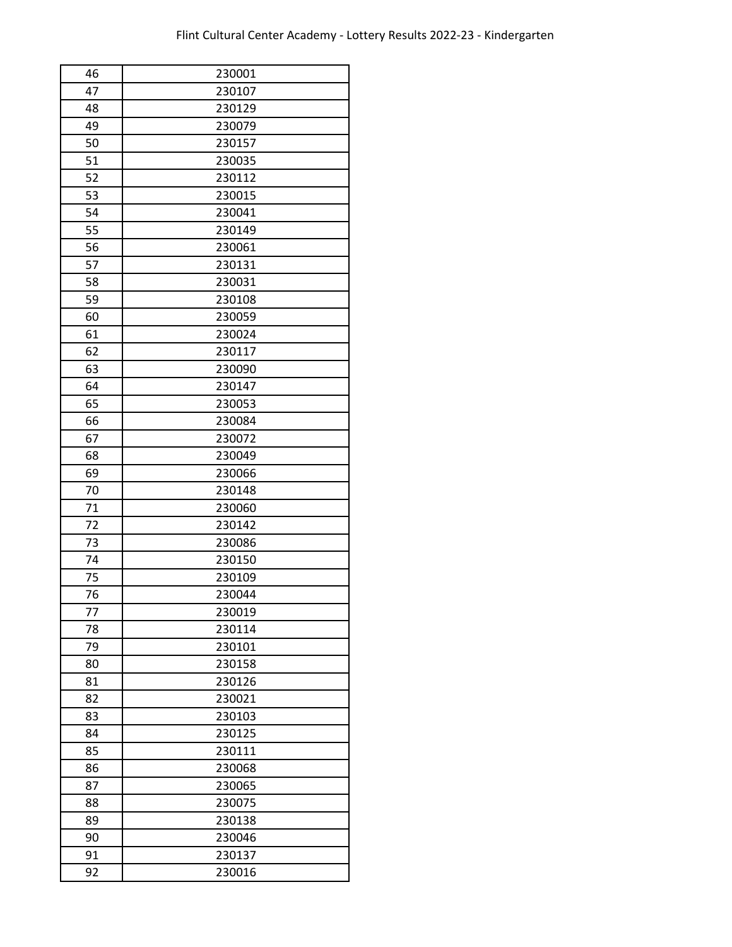| 46 | 230001 |
|----|--------|
| 47 | 230107 |
| 48 | 230129 |
| 49 | 230079 |
| 50 | 230157 |
| 51 | 230035 |
| 52 | 230112 |
| 53 | 230015 |
| 54 | 230041 |
| 55 | 230149 |
| 56 | 230061 |
| 57 | 230131 |
| 58 | 230031 |
| 59 | 230108 |
| 60 | 230059 |
| 61 | 230024 |
| 62 | 230117 |
| 63 | 230090 |
| 64 | 230147 |
| 65 | 230053 |
| 66 | 230084 |
| 67 | 230072 |
| 68 | 230049 |
| 69 | 230066 |
| 70 | 230148 |
| 71 | 230060 |
| 72 | 230142 |
| 73 | 230086 |
| 74 | 230150 |
| 75 | 230109 |
| 76 | 230044 |
| 77 | 230019 |
| 78 | 230114 |
| 79 | 230101 |
| 80 | 230158 |
| 81 | 230126 |
| 82 | 230021 |
| 83 | 230103 |
| 84 | 230125 |
| 85 | 230111 |
| 86 | 230068 |
| 87 | 230065 |
| 88 | 230075 |
| 89 | 230138 |
| 90 | 230046 |
| 91 | 230137 |
| 92 | 230016 |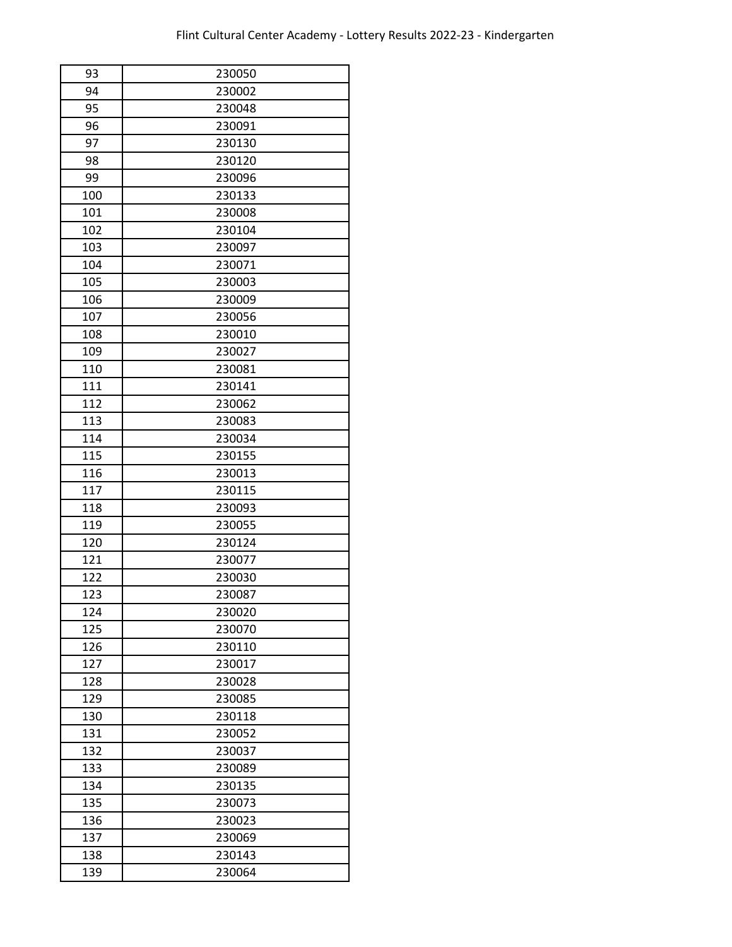| 93  | 230050 |
|-----|--------|
| 94  | 230002 |
| 95  | 230048 |
| 96  | 230091 |
| 97  | 230130 |
| 98  | 230120 |
| 99  | 230096 |
| 100 | 230133 |
| 101 | 230008 |
| 102 | 230104 |
| 103 | 230097 |
| 104 | 230071 |
| 105 | 230003 |
| 106 | 230009 |
| 107 | 230056 |
| 108 | 230010 |
| 109 | 230027 |
| 110 | 230081 |
| 111 | 230141 |
| 112 | 230062 |
| 113 | 230083 |
| 114 | 230034 |
| 115 | 230155 |
| 116 | 230013 |
| 117 | 230115 |
| 118 | 230093 |
| 119 | 230055 |
| 120 | 230124 |
| 121 | 230077 |
| 122 | 230030 |
| 123 | 230087 |
| 124 | 230020 |
| 125 | 230070 |
| 126 | 230110 |
| 127 | 230017 |
| 128 | 230028 |
| 129 | 230085 |
| 130 | 230118 |
| 131 | 230052 |
| 132 | 230037 |
| 133 | 230089 |
| 134 | 230135 |
| 135 | 230073 |
| 136 | 230023 |
| 137 | 230069 |
| 138 | 230143 |
| 139 | 230064 |